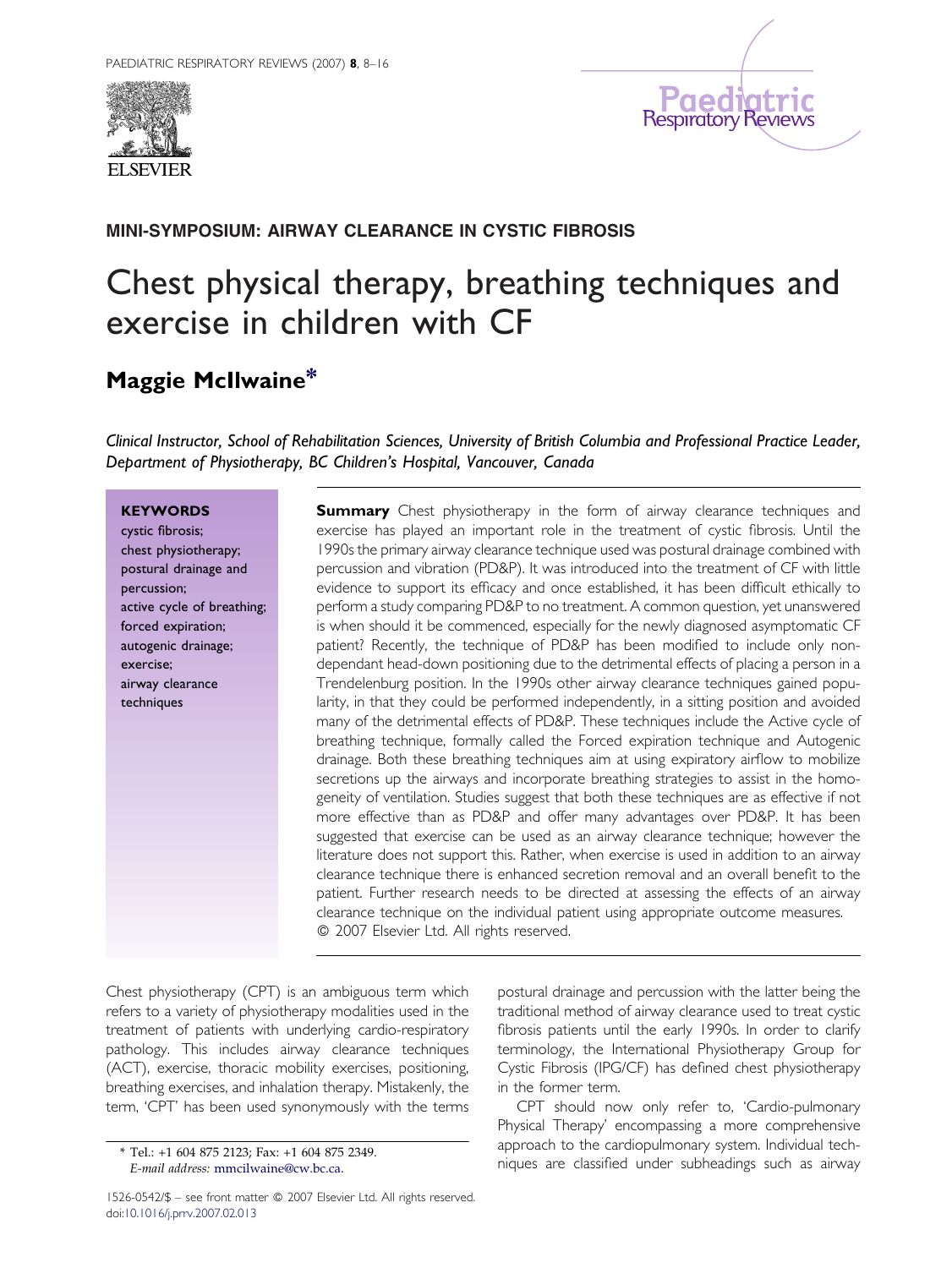



## MINI-SYMPOSIUM: AIRWAY CLEARANCE IN CYSTIC FIBROSIS

# Chest physical therapy, breathing techniques and exercise in children with CF

## Maggie McIlwaine\*

Clinical Instructor, School of Rehabilitation Sciences, University of British Columbia and Professional Practice Leader, Department of Physiotherapy, BC Children's Hospital, Vancouver, Canada

### **KEYWORDS**

cystic fibrosis; chest physiotherapy; postural drainage and percussion; active cycle of breathing; forced expiration; autogenic drainage; exercise; airway clearance techniques

**Summary** Chest physiotherapy in the form of airway clearance techniques and exercise has played an important role in the treatment of cystic fibrosis. Until the 1990s the primary airway clearance technique used was postural drainage combined with percussion and vibration (PD&P). It was introduced into the treatment of CF with little evidence to support its efficacy and once established, it has been difficult ethically to perform a study comparing PD&P to no treatment. A common question, yet unanswered is when should it be commenced, especially for the newly diagnosed asymptomatic CF patient? Recently, the technique of PD&P has been modified to include only nondependant head-down positioning due to the detrimental effects of placing a person in a Trendelenburg position. In the 1990s other airway clearance techniques gained popularity, in that they could be performed independently, in a sitting position and avoided many of the detrimental effects of PD&P. These techniques include the Active cycle of breathing technique, formally called the Forced expiration technique and Autogenic drainage. Both these breathing techniques aim at using expiratory airflow to mobilize secretions up the airways and incorporate breathing strategies to assist in the homogeneity of ventilation. Studies suggest that both these techniques are as effective if not more effective than as PD&P and offer many advantages over PD&P. It has been suggested that exercise can be used as an airway clearance technique; however the literature does not support this. Rather, when exercise is used in addition to an airway clearance technique there is enhanced secretion removal and an overall benefit to the patient. Further research needs to be directed at assessing the effects of an airway clearance technique on the individual patient using appropriate outcome measures. - 2007 Elsevier Ltd. All rights reserved.

Chest physiotherapy (CPT) is an ambiguous term which refers to a variety of physiotherapy modalities used in the treatment of patients with underlying cardio-respiratory pathology. This includes airway clearance techniques (ACT), exercise, thoracic mobility exercises, positioning, breathing exercises, and inhalation therapy. Mistakenly, the term, 'CPT' has been used synonymously with the terms

postural drainage and percussion with the latter being the traditional method of airway clearance used to treat cystic fibrosis patients until the early 1990s. In order to clarify terminology, the International Physiotherapy Group for Cystic Fibrosis (IPG/CF) has defined chest physiotherapy in the former term.

CPT should now only refer to, 'Cardio-pulmonary Physical Therapy' encompassing a more comprehensive approach to the cardiopulmonary system. Individual techniques are classified under subheadings such as airway

<sup>\*</sup> Tel.: +1 604 875 2123; Fax: +1 604 875 2349. E-mail address: [mmcilwaine@cw.bc.ca](mailto:mmcilwaine@cw.bc.ca).

<sup>1526-0542/\$ -</sup> see front matter @ 2007 Elsevier Ltd. All rights reserved. doi:[10.1016/j.prrv.2007.02.013](http://dx.doi.org/10.1016/j.prrv.2007.02.013)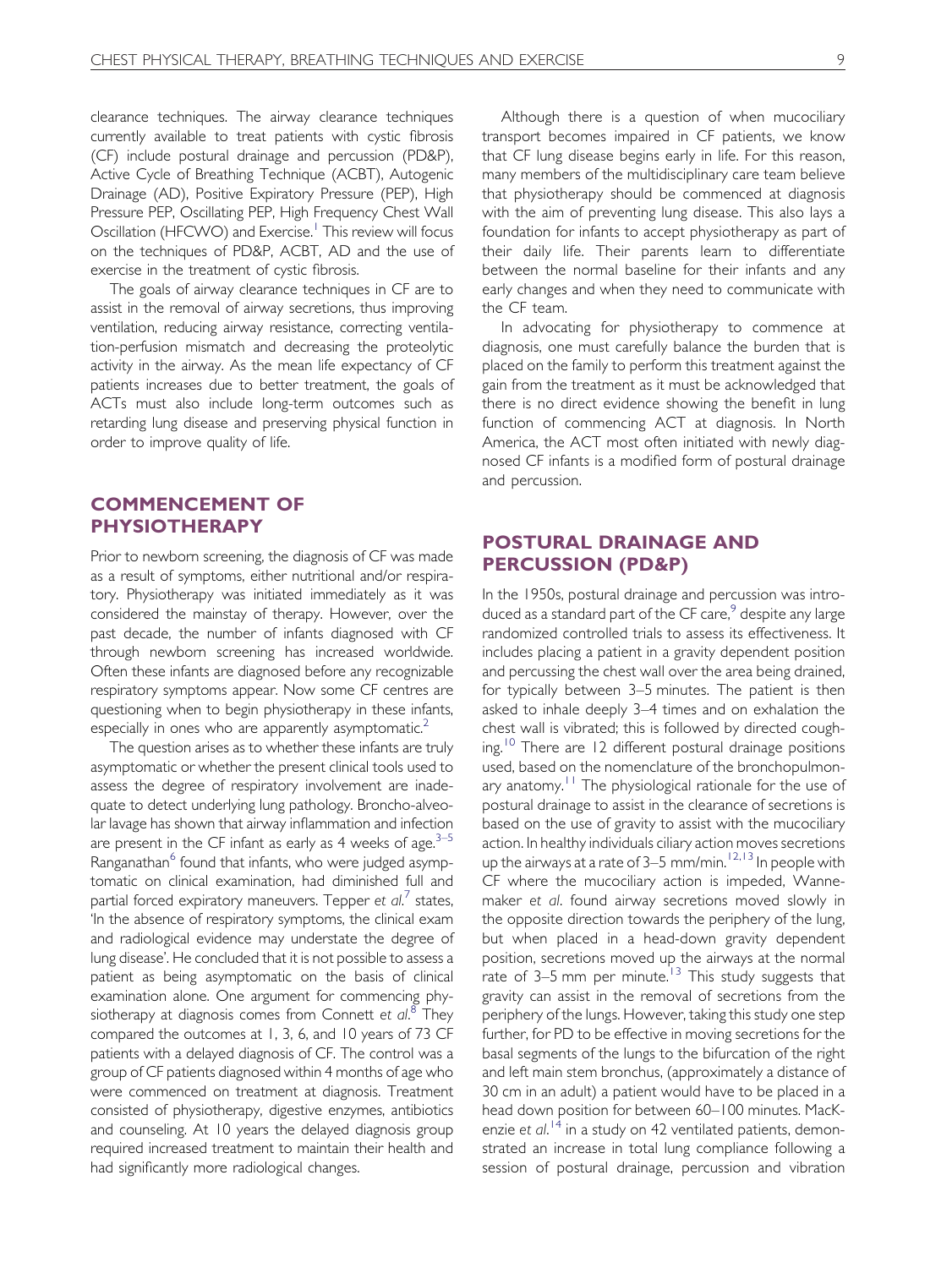clearance techniques. The airway clearance techniques currently available to treat patients with cystic fibrosis (CF) include postural drainage and percussion (PD&P), Active Cycle of Breathing Technique (ACBT), Autogenic Drainage (AD), Positive Expiratory Pressure (PEP), High Pressure PEP, Oscillating PEP, High Frequency Chest Wall Oscillation (HFCWO) and Exercise.<sup>[1](#page-7-0)</sup> This review will focus on the techniques of PD&P, ACBT, AD and the use of exercise in the treatment of cystic fibrosis.

The goals of airway clearance techniques in CF are to assist in the removal of airway secretions, thus improving ventilation, reducing airway resistance, correcting ventilation-perfusion mismatch and decreasing the proteolytic activity in the airway. As the mean life expectancy of CF patients increases due to better treatment, the goals of ACTs must also include long-term outcomes such as retarding lung disease and preserving physical function in order to improve quality of life.

## COMMENCEMENT OF PHYSIOTHERAPY

Prior to newborn screening, the diagnosis of CF was made as a result of symptoms, either nutritional and/or respiratory. Physiotherapy was initiated immediately as it was considered the mainstay of therapy. However, over the past decade, the number of infants diagnosed with CF through newborn screening has increased worldwide. Often these infants are diagnosed before any recognizable respiratory symptoms appear. Now some CF centres are questioning when to begin physiotherapy in these infants, especially in ones who are apparently asymptomatic.<sup>[2](#page-7-0)</sup>

The question arises as to whether these infants are truly asymptomatic or whether the present clinical tools used to assess the degree of respiratory involvement are inadequate to detect underlying lung pathology. Broncho-alveolar lavage has shown that airway inflammation and infection are present in the CF infant as early as 4 weeks of age. $3-5$ Ranganathan<sup>[6](#page-7-0)</sup> found that infants, who were judged asymptomatic on clinical examination, had diminished full and partial forced expiratory maneuvers. Tepper et  $al.^7$  $al.^7$  states, 'In the absence of respiratory symptoms, the clinical exam and radiological evidence may understate the degree of lung disease'. He concluded that it is not possible to assess a patient as being asymptomatic on the basis of clinical examination alone. One argument for commencing phy-siotherapy at diagnosis comes from Connett et al.<sup>[8](#page-7-0)</sup> They compared the outcomes at 1, 3, 6, and 10 years of 73 CF patients with a delayed diagnosis of CF. The control was a group of CF patients diagnosed within 4 months of age who were commenced on treatment at diagnosis. Treatment consisted of physiotherapy, digestive enzymes, antibiotics and counseling. At 10 years the delayed diagnosis group required increased treatment to maintain their health and had significantly more radiological changes.

Although there is a question of when mucociliary transport becomes impaired in CF patients, we know that CF lung disease begins early in life. For this reason, many members of the multidisciplinary care team believe that physiotherapy should be commenced at diagnosis with the aim of preventing lung disease. This also lays a foundation for infants to accept physiotherapy as part of their daily life. Their parents learn to differentiate between the normal baseline for their infants and any early changes and when they need to communicate with the CF team.

In advocating for physiotherapy to commence at diagnosis, one must carefully balance the burden that is placed on the family to perform this treatment against the gain from the treatment as it must be acknowledged that there is no direct evidence showing the benefit in lung function of commencing ACT at diagnosis. In North America, the ACT most often initiated with newly diagnosed CF infants is a modified form of postural drainage and percussion.

## POSTURAL DRAINAGE AND PERCUSSION (PD&P)

In the 1950s, postural drainage and percussion was introduced as a standard part of the  $CF$  care, $9$  despite any large randomized controlled trials to assess its effectiveness. It includes placing a patient in a gravity dependent position and percussing the chest wall over the area being drained, for typically between 3–5 minutes. The patient is then asked to inhale deeply 3–4 times and on exhalation the chest wall is vibrated; this is followed by directed cough-ing.<sup>[10](#page-7-0)</sup> There are 12 different postural drainage positions used, based on the nomenclature of the bronchopulmon-ary anatomy.<sup>[11](#page-7-0)</sup> The physiological rationale for the use of postural drainage to assist in the clearance of secretions is based on the use of gravity to assist with the mucociliary action. In healthy individuals ciliary action moves secretions up the airways at a rate of  $3-5$  mm/min.<sup>[12,13](#page-7-0)</sup> In people with CF where the mucociliary action is impeded, Wannemaker et al. found airway secretions moved slowly in the opposite direction towards the periphery of the lung, but when placed in a head-down gravity dependent position, secretions moved up the airways at the normal rate of  $3-5$  mm per minute.<sup>[13](#page-7-0)</sup> This study suggests that gravity can assist in the removal of secretions from the periphery of the lungs. However, taking this study one step further, for PD to be effective in moving secretions for the basal segments of the lungs to the bifurcation of the right and left main stem bronchus, (approximately a distance of 30 cm in an adult) a patient would have to be placed in a head down position for between 60–100 minutes. MacK-enzie et al.<sup>[14](#page-7-0)</sup> in a study on 42 ventilated patients, demonstrated an increase in total lung compliance following a session of postural drainage, percussion and vibration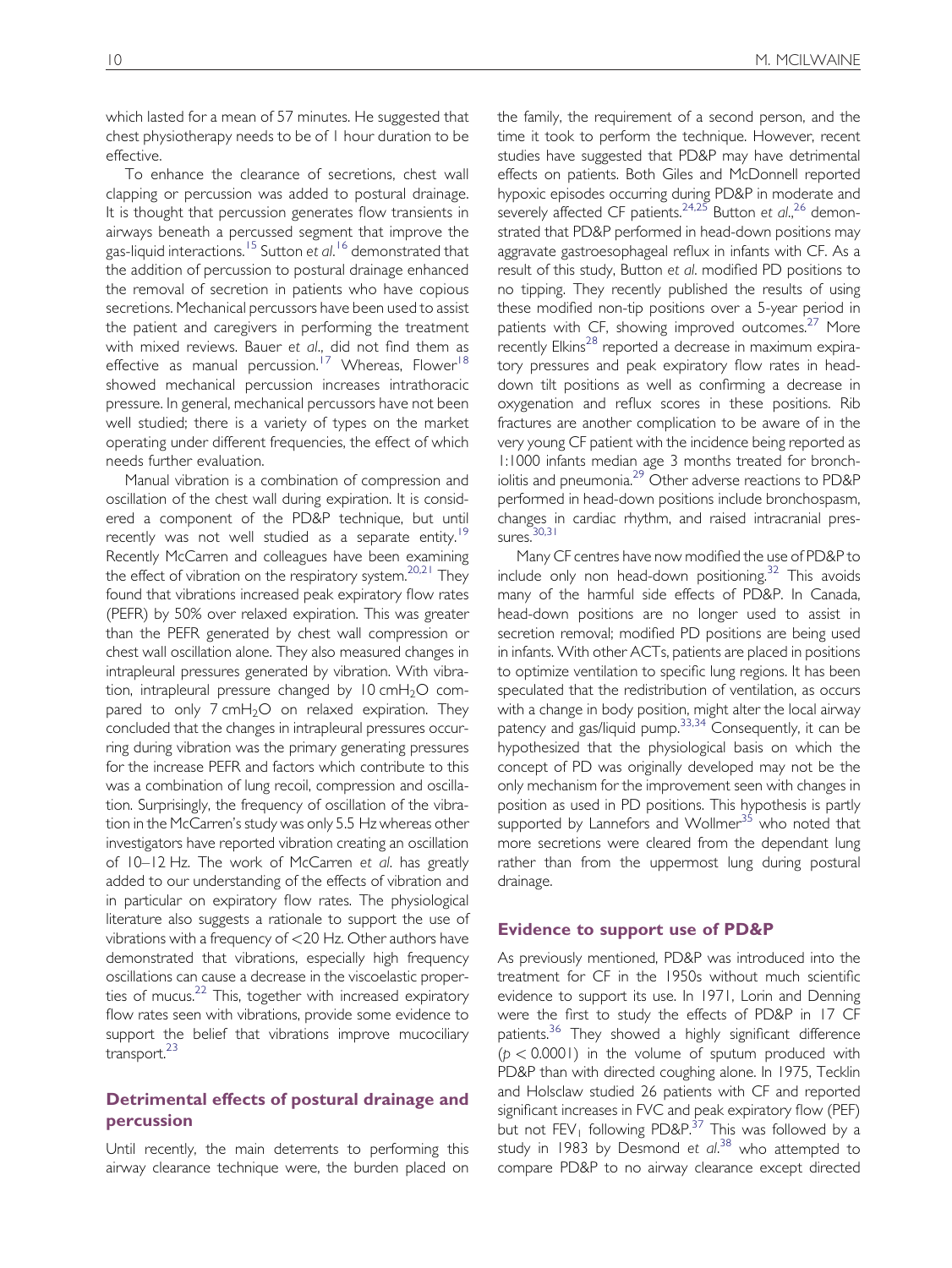which lasted for a mean of 57 minutes. He suggested that chest physiotherapy needs to be of 1 hour duration to be effective.

To enhance the clearance of secretions, chest wall clapping or percussion was added to postural drainage. It is thought that percussion generates flow transients in airways beneath a percussed segment that improve the gas-liquid interactions. <sup>[15](#page-7-0)</sup> Sutton et al. <sup>[16](#page-7-0)</sup> demonstrated that the addition of percussion to postural drainage enhanced the removal of secretion in patients who have copious secretions. Mechanical percussors have been used to assist the patient and caregivers in performing the treatment with mixed reviews. Bauer et al., did not find them as effective as manual percussion.<sup>[17](#page-7-0)</sup> Whereas, Flower<sup>[18](#page-7-0)</sup> showed mechanical percussion increases intrathoracic pressure. In general, mechanical percussors have not been well studied; there is a variety of types on the market operating under different frequencies, the effect of which needs further evaluation.

Manual vibration is a combination of compression and oscillation of the chest wall during expiration. It is considered a component of the PD&P technique, but until recently was not well studied as a separate entity.<sup>[19](#page-7-0)</sup> Recently McCarren and colleagues have been examining the effect of vibration on the respiratory system.<sup>[20,21](#page-7-0)</sup> They found that vibrations increased peak expiratory flow rates (PEFR) by 50% over relaxed expiration. This was greater than the PEFR generated by chest wall compression or chest wall oscillation alone. They also measured changes in intrapleural pressures generated by vibration. With vibration, intrapleural pressure changed by  $10 \text{ cm} + \frac{1}{2}O$  compared to only  $7 \text{ cmH}_2\text{O}$  on relaxed expiration. They concluded that the changes in intrapleural pressures occurring during vibration was the primary generating pressures for the increase PEFR and factors which contribute to this was a combination of lung recoil, compression and oscillation. Surprisingly, the frequency of oscillation of the vibration in the McCarren's study was only 5.5 Hz whereas other investigators have reported vibration creating an oscillation of 10–12 Hz. The work of McCarren et al. has greatly added to our understanding of the effects of vibration and in particular on expiratory flow rates. The physiological literature also suggests a rationale to support the use of vibrations with a frequency of <20 Hz. Other authors have demonstrated that vibrations, especially high frequency oscillations can cause a decrease in the viscoelastic properties of mucus. $22$  This, together with increased expiratory flow rates seen with vibrations, provide some evidence to support the belief that vibrations improve mucociliary transport.<sup>[23](#page-7-0)</sup>

## Detrimental effects of postural drainage and percussion

Until recently, the main deterrents to performing this airway clearance technique were, the burden placed on the family, the requirement of a second person, and the time it took to perform the technique. However, recent studies have suggested that PD&P may have detrimental effects on patients. Both Giles and McDonnell reported hypoxic episodes occurring during PD&P in moderate and severely affected CF patients.  $24.25$  Button et al.,  $26$  demonstrated that PD&P performed in head-down positions may aggravate gastroesophageal reflux in infants with CF. As a result of this study, Button et al. modified PD positions to no tipping. They recently published the results of using these modified non-tip positions over a 5-year period in patients with CF, showing improved outcomes.<sup>[27](#page-7-0)</sup> More recently Elkins<sup>[28](#page-7-0)</sup> reported a decrease in maximum expiratory pressures and peak expiratory flow rates in headdown tilt positions as well as confirming a decrease in oxygenation and reflux scores in these positions. Rib fractures are another complication to be aware of in the very young CF patient with the incidence being reported as 1:1000 infants median age 3 months treated for bronchiolitis and pneumonia.[29](#page-7-0) Other adverse reactions to PD&P performed in head-down positions include bronchospasm, changes in cardiac rhythm, and raised intracranial pressures. $30,31$ 

Many CF centres have now modified the use of PD&P to include only non head-down positioning.<sup>32</sup> This avoids many of the harmful side effects of PD&P. In Canada, head-down positions are no longer used to assist in secretion removal; modified PD positions are being used in infants. With other ACTs, patients are placed in positions to optimize ventilation to specific lung regions. It has been speculated that the redistribution of ventilation, as occurs with a change in body position, might alter the local airway patency and gas/liquid pump.[33,34](#page-7-0) Consequently, it can be hypothesized that the physiological basis on which the concept of PD was originally developed may not be the only mechanism for the improvement seen with changes in position as used in PD positions. This hypothesis is partly supported by Lannefors and Wollmer<sup>[35](#page-7-0)</sup> who noted that more secretions were cleared from the dependant lung rather than from the uppermost lung during postural drainage.

#### Evidence to support use of PD&P

As previously mentioned, PD&P was introduced into the treatment for CF in the 1950s without much scientific evidence to support its use. In 1971, Lorin and Denning were the first to study the effects of PD&P in 17 CF patients.<sup>[36](#page-7-0)</sup> They showed a highly significant difference  $(p < 0.0001)$  in the volume of sputum produced with PD&P than with directed coughing alone. In 1975, Tecklin and Holsclaw studied 26 patients with CF and reported significant increases in FVC and peak expiratory flow (PEF) but not  $FEV_1$  following PD&P.<sup>[37](#page-7-0)</sup> This was followed by a study in 1983 by Desmond et al.<sup>[38](#page-7-0)</sup> who attempted to compare PD&P to no airway clearance except directed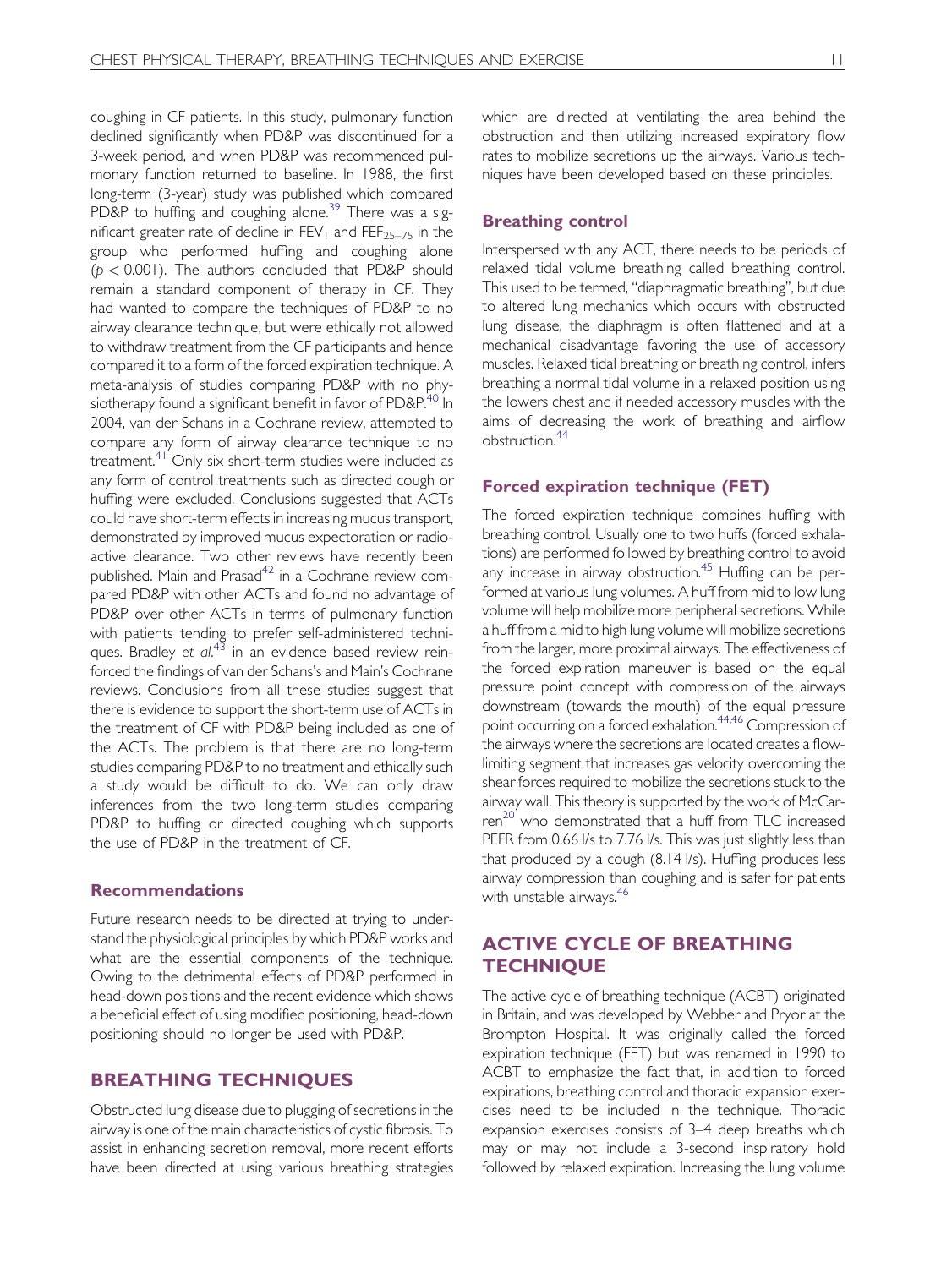coughing in CF patients. In this study, pulmonary function declined significantly when PD&P was discontinued for a 3-week period, and when PD&P was recommenced pulmonary function returned to baseline. In 1988, the first long-term (3-year) study was published which compared PD&P to huffing and coughing alone.<sup>[39](#page-7-0)</sup> There was a significant greater rate of decline in  $FEV_1$  and  $FEF_{25-75}$  in the group who performed huffing and coughing alone  $(p < 0.001)$ . The authors concluded that PD&P should remain a standard component of therapy in CF. They had wanted to compare the techniques of PD&P to no airway clearance technique, but were ethically not allowed to withdraw treatment from the CF participants and hence compared it to a form of the forced expiration technique. A meta-analysis of studies comparing PD&P with no phy-siotherapy found a significant benefit in favor of PD&P.<sup>[40](#page-7-0)</sup> In 2004, van der Schans in a Cochrane review, attempted to compare any form of airway clearance technique to no treatment[.41](#page-7-0) Only six short-term studies were included as any form of control treatments such as directed cough or huffing were excluded. Conclusions suggested that ACTs could have short-term effects in increasing mucus transport, demonstrated by improved mucus expectoration or radioactive clearance. Two other reviews have recently been published. Main and Prasad<sup>42</sup> in a Cochrane review compared PD&P with other ACTs and found no advantage of PD&P over other ACTs in terms of pulmonary function with patients tending to prefer self-administered techni-ques. Bradley et al.<sup>[43](#page-7-0)</sup> in an evidence based review reinforced the findings of van der Schans's and Main's Cochrane reviews. Conclusions from all these studies suggest that there is evidence to support the short-term use of ACTs in the treatment of CF with PD&P being included as one of the ACTs. The problem is that there are no long-term studies comparing PD&P to no treatment and ethically such a study would be difficult to do. We can only draw inferences from the two long-term studies comparing PD&P to huffing or directed coughing which supports the use of PD&P in the treatment of CF.

#### Recommendations

Future research needs to be directed at trying to understand the physiological principles by which PD&P works and what are the essential components of the technique. Owing to the detrimental effects of PD&P performed in head-down positions and the recent evidence which shows a beneficial effect of using modified positioning, head-down positioning should no longer be used with PD&P.

## BREATHING TECHNIQUES

Obstructed lung disease due to plugging of secretions in the airway is one of the main characteristics of cystic fibrosis. To assist in enhancing secretion removal, more recent efforts have been directed at using various breathing strategies which are directed at ventilating the area behind the obstruction and then utilizing increased expiratory flow rates to mobilize secretions up the airways. Various techniques have been developed based on these principles.

#### Breathing control

Interspersed with any ACT, there needs to be periods of relaxed tidal volume breathing called breathing control. This used to be termed, ''diaphragmatic breathing'', but due to altered lung mechanics which occurs with obstructed lung disease, the diaphragm is often flattened and at a mechanical disadvantage favoring the use of accessory muscles. Relaxed tidal breathing or breathing control, infers breathing a normal tidal volume in a relaxed position using the lowers chest and if needed accessory muscles with the aims of decreasing the work of breathing and airflow obstruction.[44](#page-7-0)

#### Forced expiration technique (FET)

The forced expiration technique combines huffing with breathing control. Usually one to two huffs (forced exhalations) are performed followed by breathing control to avoid any increase in airway obstruction.<sup>[45](#page-7-0)</sup> Huffing can be performed at various lung volumes. A huff from mid to low lung volume will help mobilize more peripheral secretions. While a huff from a mid to high lung volume will mobilize secretions from the larger, more proximal airways. The effectiveness of the forced expiration maneuver is based on the equal pressure point concept with compression of the airways downstream (towards the mouth) of the equal pressure point occurring on a forced exhalation.<sup>44,46</sup> Compression of the airways where the secretions are located creates a flowlimiting segment that increases gas velocity overcoming the shear forces required to mobilize the secretions stuck to the airway wall. This theory is supported by the work of McCar-ren<sup>[20](#page-7-0)</sup> who demonstrated that a huff from TLC increased PEFR from 0.66 I/s to 7.76 I/s. This was just slightly less than that produced by a cough (8.14 l/s). Huffing produces less airway compression than coughing and is safer for patients with unstable airways.<sup>46</sup>

## ACTIVE CYCLE OF BREATHING **TECHNIOUE**

The active cycle of breathing technique (ACBT) originated in Britain, and was developed by Webber and Pryor at the Brompton Hospital. It was originally called the forced expiration technique (FET) but was renamed in 1990 to ACBT to emphasize the fact that, in addition to forced expirations, breathing control and thoracic expansion exercises need to be included in the technique. Thoracic expansion exercises consists of 3–4 deep breaths which may or may not include a 3-second inspiratory hold followed by relaxed expiration. Increasing the lung volume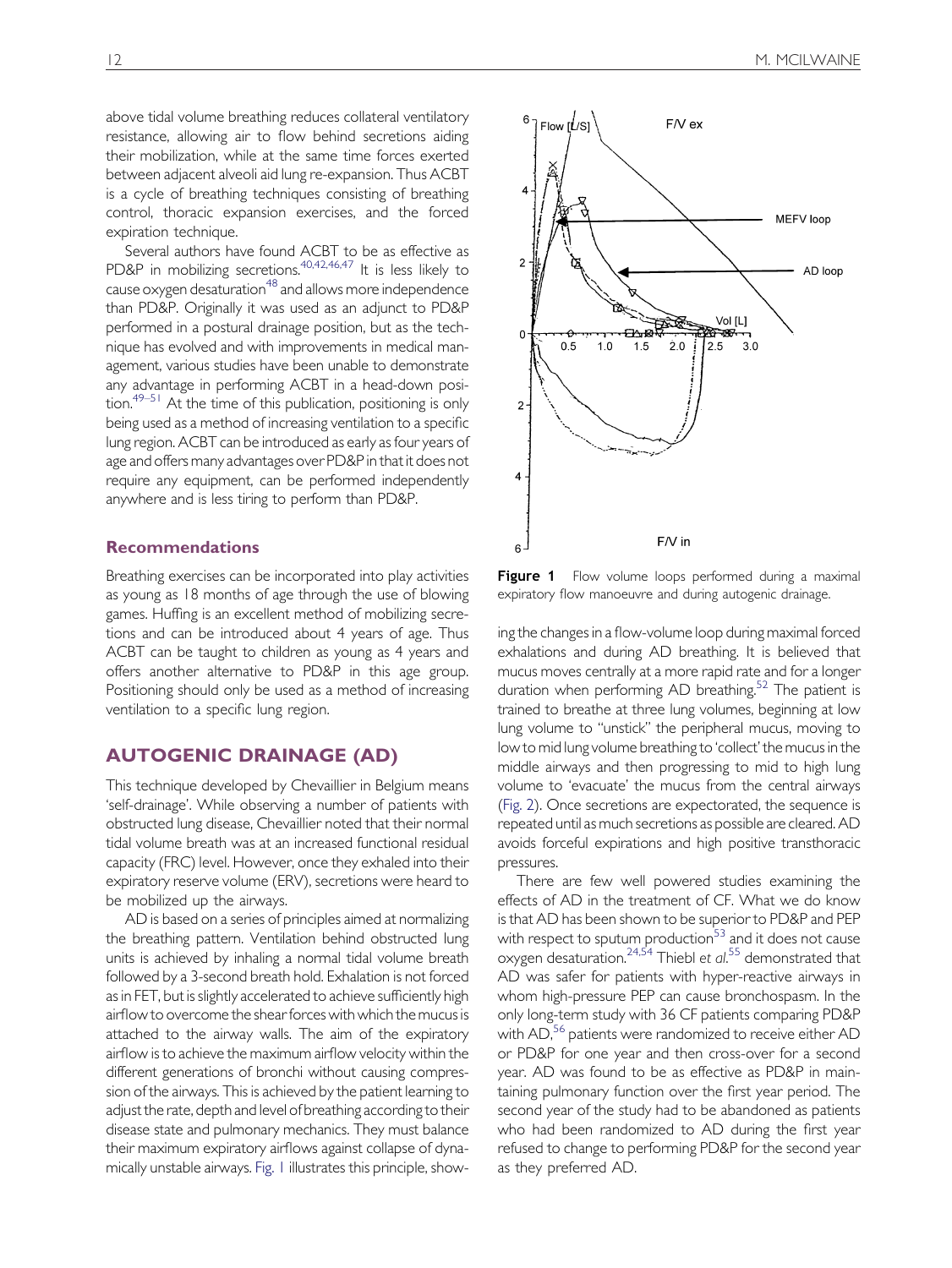above tidal volume breathing reduces collateral ventilatory resistance, allowing air to flow behind secretions aiding their mobilization, while at the same time forces exerted between adjacent alveoli aid lung re-expansion. Thus ACBT is a cycle of breathing techniques consisting of breathing control, thoracic expansion exercises, and the forced expiration technique.

Several authors have found ACBT to be as effective as PD&P in mobilizing secretions.<sup>40,42,46,47</sup> It is less likely to cause oxygen desaturation<sup>48</sup> and allows more independence than PD&P. Originally it was used as an adjunct to PD&P performed in a postural drainage position, but as the technique has evolved and with improvements in medical management, various studies have been unable to demonstrate any advantage in performing ACBT in a head-down position.<sup>49–51</sup> At the time of this publication, positioning is only being used as a method of increasing ventilation to a specific lung region. ACBT can be introduced as early as four years of age and offers many advantages over PD&P in that it does not require any equipment, can be performed independently anywhere and is less tiring to perform than PD&P.

### Recommendations

Breathing exercises can be incorporated into play activities as young as 18 months of age through the use of blowing games. Huffing is an excellent method of mobilizing secretions and can be introduced about 4 years of age. Thus ACBT can be taught to children as young as 4 years and offers another alternative to PD&P in this age group. Positioning should only be used as a method of increasing ventilation to a specific lung region.

## AUTOGENIC DRAINAGE (AD)

This technique developed by Chevaillier in Belgium means 'self-drainage'. While observing a number of patients with obstructed lung disease, Chevaillier noted that their normal tidal volume breath was at an increased functional residual capacity (FRC) level. However, once they exhaled into their expiratory reserve volume (ERV), secretions were heard to be mobilized up the airways.

AD is based on a series of principles aimed at normalizing the breathing pattern. Ventilation behind obstructed lung units is achieved by inhaling a normal tidal volume breath followed by a 3-second breath hold. Exhalation is not forced as in FET, but is slightly accelerated to achieve sufficiently high airflow to overcome the shearforces with whichthemucus is attached to the airway walls. The aim of the expiratory airflow is to achieve the maximum airflow velocity within the different generations of bronchi without causing compression of the airways. This is achieved by the patient learning to adjust the rate, depth and level of breathing according to their disease state and pulmonary mechanics. They must balance their maximum expiratory airflows against collapse of dynamically unstable airways. Fig. 1 illustrates this principle, show-



Figure 1 Flow volume loops performed during a maximal expiratory flow manoeuvre and during autogenic drainage.

ing the changes in a flow-volume loop during maximal forced exhalations and during AD breathing. It is believed that mucus moves centrally at a more rapid rate and for a longer duration when performing AD breathing.<sup>52</sup> The patient is trained to breathe at three lung volumes, beginning at low lung volume to ''unstick'' the peripheral mucus, moving to low to mid lung volume breathing to 'collect' the mucus in the middle airways and then progressing to mid to high lung volume to 'evacuate' the mucus from the central airways ([Fig. 2](#page-5-0)). Once secretions are expectorated, the sequence is repeated until as much secretions as possible are cleared. AD avoids forceful expirations and high positive transthoracic pressures.

There are few well powered studies examining the effects of AD in the treatment of CF. What we do know is that AD has been shown to be superior to PD&P and PEP with respect to sputum production<sup>[53](#page-8-0)</sup> and it does not cause oxygen desaturation.<sup>[24,54](#page-7-0)</sup> Thiebl et al.<sup>[55](#page-8-0)</sup> demonstrated that AD was safer for patients with hyper-reactive airways in whom high-pressure PEP can cause bronchospasm. In the only long-term study with 36 CF patients comparing PD&P with AD,<sup>[56](#page-8-0)</sup> patients were randomized to receive either AD or PD&P for one year and then cross-over for a second year. AD was found to be as effective as PD&P in maintaining pulmonary function over the first year period. The second year of the study had to be abandoned as patients who had been randomized to AD during the first year refused to change to performing PD&P for the second year as they preferred AD.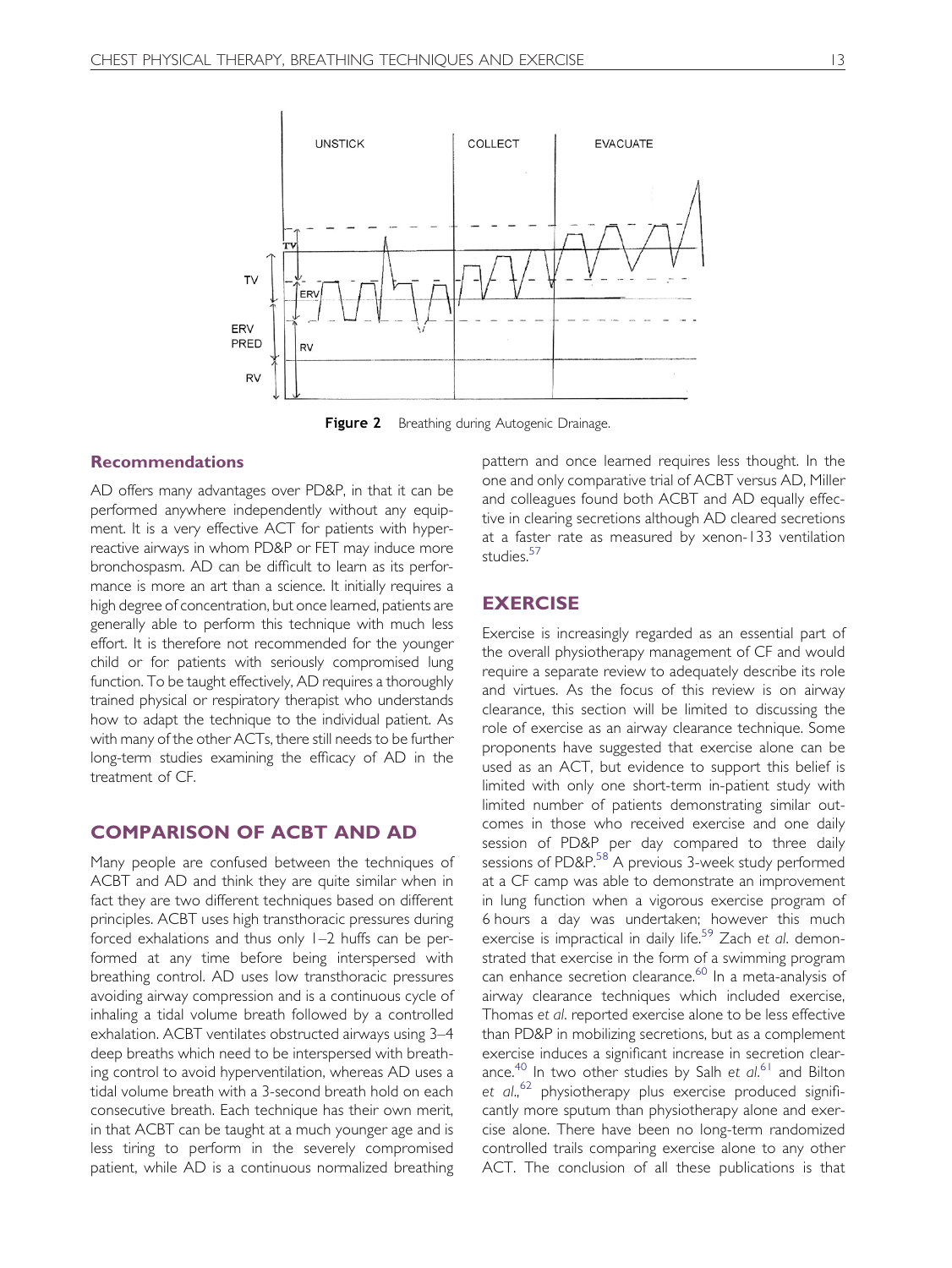<span id="page-5-0"></span>

Figure 2 Breathing during Autogenic Drainage.

### Recommendations

AD offers many advantages over PD&P, in that it can be performed anywhere independently without any equipment. It is a very effective ACT for patients with hyperreactive airways in whom PD&P or FET may induce more bronchospasm. AD can be difficult to learn as its performance is more an art than a science. It initially requires a high degree of concentration, but once learned, patients are generally able to perform this technique with much less effort. It is therefore not recommended for the younger child or for patients with seriously compromised lung function. To be taught effectively, AD requires a thoroughly trained physical or respiratory therapist who understands how to adapt the technique to the individual patient. As with many of the other ACTs, there still needs to be further long-term studies examining the efficacy of AD in the treatment of CF.

#### COMPARISON OF ACBT AND AD

Many people are confused between the techniques of ACBT and AD and think they are quite similar when in fact they are two different techniques based on different principles. ACBT uses high transthoracic pressures during forced exhalations and thus only 1–2 huffs can be performed at any time before being interspersed with breathing control. AD uses low transthoracic pressures avoiding airway compression and is a continuous cycle of inhaling a tidal volume breath followed by a controlled exhalation. ACBT ventilates obstructed airways using 3–4 deep breaths which need to be interspersed with breathing control to avoid hyperventilation, whereas AD uses a tidal volume breath with a 3-second breath hold on each consecutive breath. Each technique has their own merit, in that ACBT can be taught at a much younger age and is less tiring to perform in the severely compromised patient, while AD is a continuous normalized breathing pattern and once learned requires less thought. In the one and only comparative trial of ACBT versus AD, Miller and colleagues found both ACBT and AD equally effective in clearing secretions although AD cleared secretions at a faster rate as measured by xenon-133 ventilation studies.<sup>[57](#page-8-0)</sup>

## **EXERCISE**

Exercise is increasingly regarded as an essential part of the overall physiotherapy management of CF and would require a separate review to adequately describe its role and virtues. As the focus of this review is on airway clearance, this section will be limited to discussing the role of exercise as an airway clearance technique. Some proponents have suggested that exercise alone can be used as an ACT, but evidence to support this belief is limited with only one short-term in-patient study with limited number of patients demonstrating similar outcomes in those who received exercise and one daily session of PD&P per day compared to three daily sessions of PD&P.<sup>[58](#page-8-0)</sup> A previous 3-week study performed at a CF camp was able to demonstrate an improvement in lung function when a vigorous exercise program of 6 hours a day was undertaken; however this much exercise is impractical in daily life.<sup>[59](#page-8-0)</sup> Zach et al. demonstrated that exercise in the form of a swimming program can enhance secretion clearance.<sup>[60](#page-8-0)</sup> In a meta-analysis of airway clearance techniques which included exercise, Thomas et al. reported exercise alone to be less effective than PD&P in mobilizing secretions, but as a complement exercise induces a significant increase in secretion clear-ance.<sup>[40](#page-7-0)</sup> In two other studies by Salh et al.<sup>[61](#page-8-0)</sup> and Bilton et al.,<sup>[62](#page-8-0)</sup> physiotherapy plus exercise produced significantly more sputum than physiotherapy alone and exercise alone. There have been no long-term randomized controlled trails comparing exercise alone to any other ACT. The conclusion of all these publications is that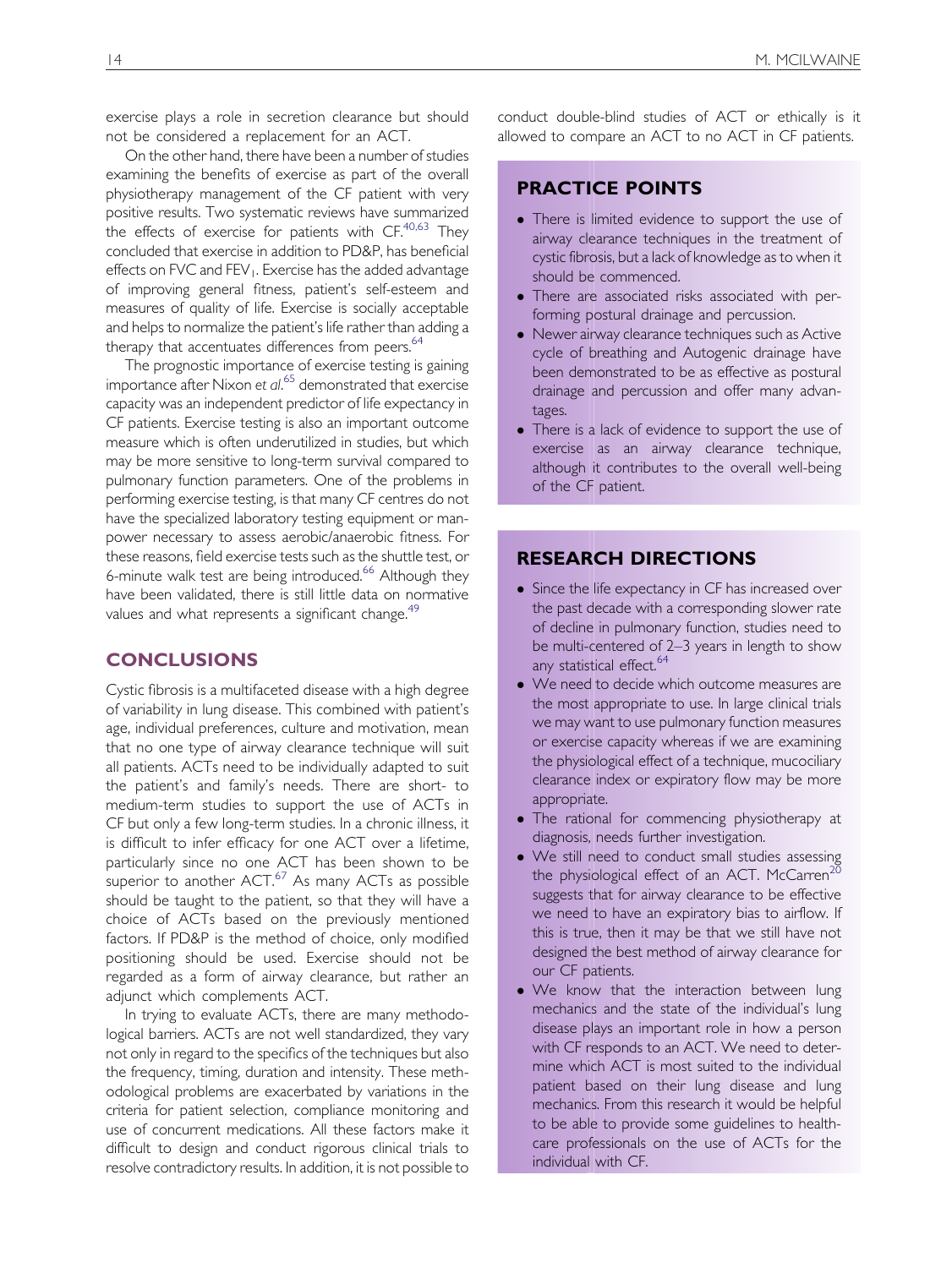exercise plays a role in secretion clearance but should not be considered a replacement for an ACT.

On the other hand, there have been a number of studies examining the benefits of exercise as part of the overall physiotherapy management of the CF patient with very positive results. Two systematic reviews have summarized the effects of exercise for patients with  $CF^{40,63}$  $CF^{40,63}$  $CF^{40,63}$  They concluded that exercise in addition to PD&P, has beneficial effects on FVC and FEV<sub>1</sub>. Exercise has the added advantage of improving general fitness, patient's self-esteem and measures of quality of life. Exercise is socially acceptable and helps to normalize the patient's life rather than adding a therapy that accentuates differences from peers.<sup>[64](#page-8-0)</sup>

The prognostic importance of exercise testing is gaining importance after Nixon et al. [65](#page-8-0) demonstrated that exercise capacity was an independent predictor of life expectancy in CF patients. Exercise testing is also an important outcome measure which is often underutilized in studies, but which may be more sensitive to long-term survival compared to pulmonary function parameters. One of the problems in performing exercise testing, is that many CF centres do not have the specialized laboratory testing equipment or manpower necessary to assess aerobic/anaerobic fitness. For these reasons, field exercise tests such as the shuttle test, or 6-minute walk test are being introduced.<sup>[66](#page-8-0)</sup> Although they have been validated, there is still little data on normative values and what represents a significant change.<sup>49</sup>

## **CONCLUSIONS**

Cystic fibrosis is a multifaceted disease with a high degree of variability in lung disease. This combined with patient's age, individual preferences, culture and motivation, mean that no one type of airway clearance technique will suit all patients. ACTs need to be individually adapted to suit the patient's and family's needs. There are short- to medium-term studies to support the use of ACTs in CF but only a few long-term studies. In a chronic illness, it is difficult to infer efficacy for one ACT over a lifetime, particularly since no one ACT has been shown to be superior to another  $ACT<sup>67</sup>$  $ACT<sup>67</sup>$  $ACT<sup>67</sup>$  As many ACTs as possible should be taught to the patient, so that they will have a choice of ACTs based on the previously mentioned factors. If PD&P is the method of choice, only modified positioning should be used. Exercise should not be regarded as a form of airway clearance, but rather an adjunct which complements ACT.

In trying to evaluate ACTs, there are many methodological barriers. ACTs are not well standardized, they vary not only in regard to the specifics of the techniques but also the frequency, timing, duration and intensity. These methodological problems are exacerbated by variations in the criteria for patient selection, compliance monitoring and use of concurrent medications. All these factors make it difficult to design and conduct rigorous clinical trials to resolve contradictory results. In addition, it is not possible to

conduct double-blind studies of ACT or ethically is it allowed to compare an ACT to no ACT in CF patients.

## PRACTICE POINTS

- There is limited evidence to support the use of airway clearance techniques in the treatment of cystic fibrosis, but a lack of knowledge as to when it should be commenced.
- There are associated risks associated with performing postural drainage and percussion.
- Newer airway clearance techniques such as Active cycle of breathing and Autogenic drainage have been demonstrated to be as effective as postural drainage and percussion and offer many advantages.
- There is a lack of evidence to support the use of exercise as an airway clearance technique, although it contributes to the overall well-being of the CF patient.

## RESEARCH DIRECTIONS

- Since the life expectancy in CF has increased over the past decade with a corresponding slower rate of decline in pulmonary function, studies need to be multi-centered of 2–3 years in length to show any statistical effect.<sup>64</sup>
- We need to decide which outcome measures are the most appropriate to use. In large clinical trials we may want to use pulmonary function measures or exercise capacity whereas if we are examining the physiological effect of a technique, mucociliary clearance index or expiratory flow may be more appropriate.
- The rational for commencing physiotherapy at diagnosis, needs further investigation.
- We still need to conduct small studies assessing the physiological effect of an ACT. McCarren<sup>[20](#page-7-0)</sup> suggests that for airway clearance to be effective we need to have an expiratory bias to airflow. If this is true, then it may be that we still have not designed the best method of airway clearance for our CF patients.
- We know that the interaction between lung mechanics and the state of the individual's lung disease plays an important role in how a person with CF responds to an ACT. We need to determine which ACT is most suited to the individual patient based on their lung disease and lung mechanics. From this research it would be helpful to be able to provide some guidelines to healthcare professionals on the use of ACTs for the individual with CF.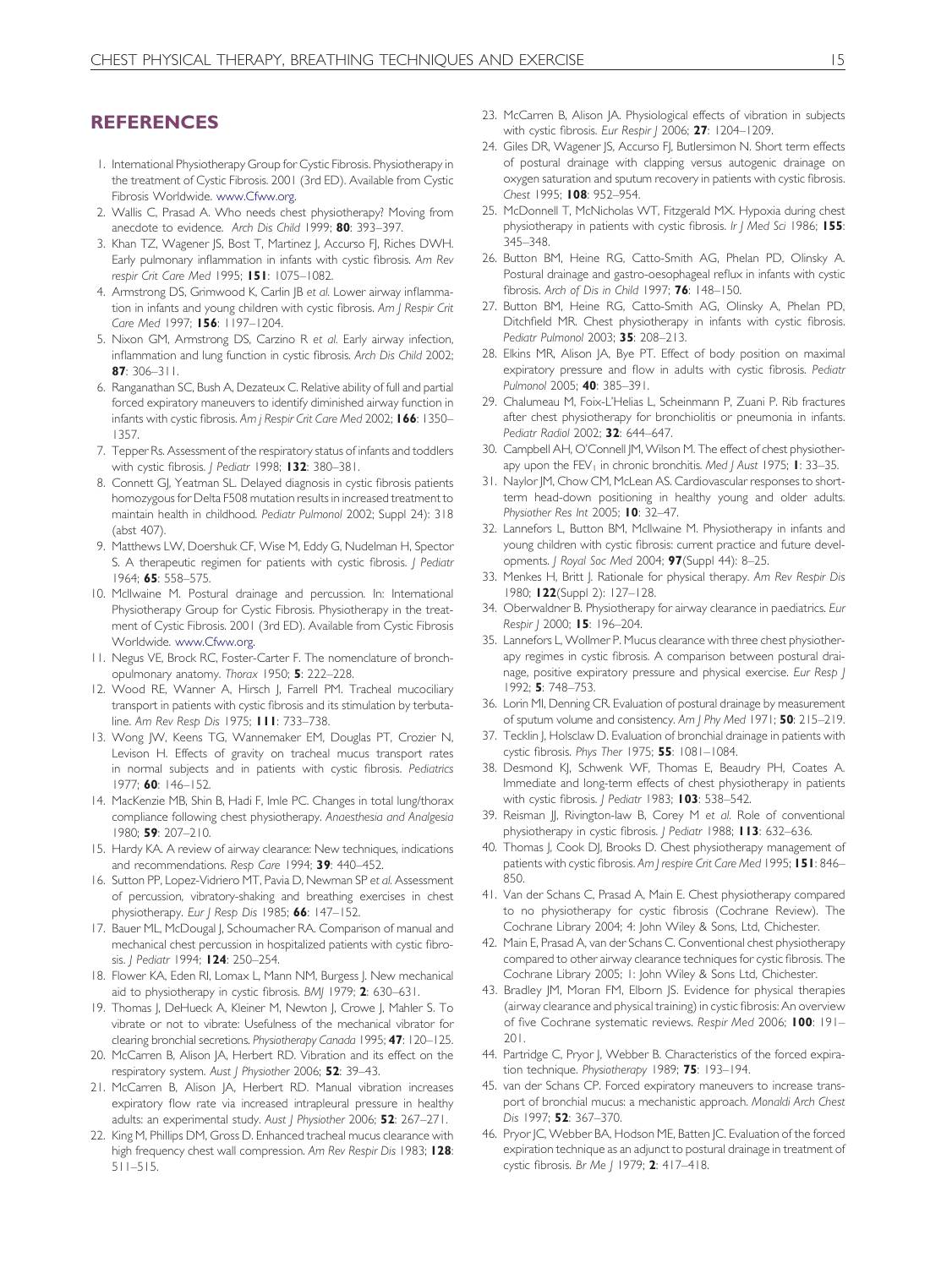## <span id="page-7-0"></span>REFERENCES

- 1. International Physiotherapy Group for Cystic Fibrosis. Physiotherapy in the treatment of Cystic Fibrosis. 2001 (3rd ED). Available from Cystic Fibrosis Worldwide. [www.Cfww.org](http://www.cfww.org/).
- 2. Wallis C, Prasad A. Who needs chest physiotherapy? Moving from anecdote to evidence. Arch Dis Child 1999; 80: 393–397.
- 3. Khan TZ, Wagener JS, Bost T, Martinez J, Accurso FJ, Riches DWH. Early pulmonary inflammation in infants with cystic fibrosis. Am Rev respir Crit Care Med 1995; 151: 1075–1082.
- 4. Armstrong DS, Grimwood K, Carlin JB et al. Lower airway inflammation in infants and young children with cystic fibrosis. Am J Respir Crit Care Med 1997; 156: 1197-1204.
- 5. Nixon GM, Armstrong DS, Carzino R et al. Early airway infection, inflammation and lung function in cystic fibrosis. Arch Dis Child 2002; 87: 306–311.
- 6. Ranganathan SC, Bush A, Dezateux C. Relative ability of full and partial forced expiratory maneuvers to identify diminished airway function in infants with cystic fibrosis. Am j Respir Crit Care Med 2002; 166: 1350-1357.
- 7. Tepper Rs. Assessment of the respiratory status of infants and toddlers with cystic fibrosis. J Pediatr 1998; 132: 380-381.
- 8. Connett GJ, Yeatman SL. Delayed diagnosis in cystic fibrosis patients homozygous for Delta F508 mutation results in increased treatment to maintain health in childhood. Pediatr Pulmonol 2002; Suppl 24): 318 (abst 407).
- 9. Matthews LW, Doershuk CF, Wise M, Eddy G, Nudelman H, Spector S. A therapeutic regimen for patients with cystic fibrosis. *| Pediatr* 1964; 65: 558–575.
- 10. McIlwaine M. Postural drainage and percussion. In: International Physiotherapy Group for Cystic Fibrosis. Physiotherapy in the treatment of Cystic Fibrosis. 2001 (3rd ED). Available from Cystic Fibrosis Worldwide. [www.Cfww.org](http://www.cfww.org/).
- 11. Negus VE, Brock RC, Foster-Carter F. The nomenclature of bronchopulmonary anatomy. Thorax 1950; 5: 222–228.
- 12. Wood RE, Wanner A, Hirsch J, Farrell PM. Tracheal mucociliary transport in patients with cystic fibrosis and its stimulation by terbutaline. Am Rev Resp Dis 1975; 111: 733–738.
- 13. Wong JW, Keens TG, Wannemaker EM, Douglas PT, Crozier N, Levison H. Effects of gravity on tracheal mucus transport rates in normal subjects and in patients with cystic fibrosis. Pediatrics 1977; 60: 146–152.
- 14. MacKenzie MB, Shin B, Hadi F, Imle PC. Changes in total lung/thorax compliance following chest physiotherapy. Anaesthesia and Analgesia 1980; 59: 207–210.
- 15. Hardy KA. A review of airway clearance: New techniques, indications and recommendations. Resp Care 1994; 39: 440-452.
- 16. Sutton PP, Lopez-Vidriero MT, Pavia D, Newman SP et al. Assessment of percussion, vibratory-shaking and breathing exercises in chest physiotherapy. Eur J Resp Dis 1985; 66: 147-152.
- 17. Bauer ML, McDougal J, Schoumacher RA. Comparison of manual and mechanical chest percussion in hospitalized patients with cystic fibrosis. | Pediatr 1994; 124: 250-254.
- 18. Flower KA, Eden RI, Lomax L, Mann NM, Burgess J. New mechanical aid to physiotherapy in cystic fibrosis. BMJ 1979; 2: 630-631.
- 19. Thomas J, DeHueck A, Kleiner M, Newton J, Crowe J, Mahler S. To vibrate or not to vibrate: Usefulness of the mechanical vibrator for clearing bronchial secretions. Physiotherapy Canada 1995; 47: 120–125.
- 20. McCarren B, Alison JA, Herbert RD. Vibration and its effect on the respiratory system. Aust J Physiother 2006; 52: 39-43.
- 21. McCarren B, Alison JA, Herbert RD. Manual vibration increases expiratory flow rate via increased intrapleural pressure in healthy adults: an experimental study. Aust | Physiother 2006; 52: 267-271.
- 22. King M, Phillips DM, Gross D. Enhanced tracheal mucus clearance with high frequency chest wall compression. Am Rev Respir Dis 1983; 128: 511–515.
- 23. McCarren B, Alison JA. Physiological effects of vibration in subjects with cystic fibrosis. Eur Respir | 2006; 27: 1204-1209.
- 24. Giles DR, Wagener JS, Accurso FJ, Butlersimon N. Short term effects of postural drainage with clapping versus autogenic drainage on oxygen saturation and sputum recovery in patients with cystic fibrosis. Chest 1995; 108: 952-954.
- 25. McDonnell T, McNicholas WT, Fitzgerald MX. Hypoxia during chest physiotherapy in patients with cystic fibrosis. Ir J Med Sci 1986; 155: 345–348.
- 26. Button BM, Heine RG, Catto-Smith AG, Phelan PD, Olinsky A. Postural drainage and gastro-oesophageal reflux in infants with cystic fibrosis. Arch of Dis in Child 1997; 76: 148–150.
- 27. Button BM, Heine RG, Catto-Smith AG, Olinsky A, Phelan PD, Ditchfield MR. Chest physiotherapy in infants with cystic fibrosis. Pediatr Pulmonol 2003; 35: 208–213.
- 28. Elkins MR, Alison JA, Bye PT. Effect of body position on maximal expiratory pressure and flow in adults with cystic fibrosis. Pediatr Pulmonol 2005; 40: 385–391.
- 29. Chalumeau M, Foix-L'Helias L, Scheinmann P, Zuani P. Rib fractures after chest physiotherapy for bronchiolitis or pneumonia in infants. Pediatr Radiol 2002; 32: 644–647.
- 30. Campbell AH, O'Connell JM, Wilson M. The effect of chest physiotherapy upon the  $FEV<sub>1</sub>$  in chronic bronchitis. Med J Aust 1975; **I**: 33–35.
- 31. Naylor JM, Chow CM, McLean AS. Cardiovascular responses to shortterm head-down positioning in healthy young and older adults. Physiother Res Int 2005; 10: 32-47.
- 32. Lannefors L, Button BM, McIlwaine M. Physiotherapy in infants and young children with cystic fibrosis: current practice and future developments. J Royal Soc Med 2004; 97(Suppl 44): 8–25.
- 33. Menkes H, Britt J. Rationale for physical therapy. Am Rev Respir Dis 1980; 122(Suppl 2): 127–128.
- 34. Oberwaldner B. Physiotherapy for airway clearance in paediatrics. Eur Respir | 2000; 15: 196-204.
- 35. Lannefors L, Wollmer P. Mucus clearance with three chest physiotherapy regimes in cystic fibrosis. A comparison between postural drainage, positive expiratory pressure and physical exercise. Eur Resp J 1992; 5: 748–753.
- 36. Lorin MI, Denning CR. Evaluation of postural drainage by measurement of sputum volume and consistency. Am J Phy Med 1971; 50: 215–219.
- 37. Tecklin J, Holsclaw D. Evaluation of bronchial drainage in patients with cystic fibrosis. Phys Ther 1975; 55: 1081-1084.
- 38. Desmond KJ, Schwenk WF, Thomas E, Beaudry PH, Coates A. Immediate and long-term effects of chest physiotherapy in patients with cystic fibrosis. *| Pediatr* 1983; 103: 538-542.
- 39. Reisman JJ, Rivington-law B, Corey M et al. Role of conventional physiotherapy in cystic fibrosis. J Pediatr 1988; 113: 632-636.
- 40. Thomas J, Cook DJ, Brooks D. Chest physiotherapy management of patients with cystic fibrosis. Am J respire Crit Care Med 1995; 151: 846-850.
- 41. Van der Schans C, Prasad A, Main E. Chest physiotherapy compared to no physiotherapy for cystic fibrosis (Cochrane Review). The Cochrane Library 2004; 4: John Wiley & Sons, Ltd, Chichester.
- 42. Main E, Prasad A, van der Schans C. Conventional chest physiotherapy compared to other airway clearance techniques for cystic fibrosis. The Cochrane Library 2005; 1: John Wiley & Sons Ltd, Chichester.
- 43. Bradley JM, Moran FM, Elborn JS. Evidence for physical therapies (airway clearance and physical training) in cystic fibrosis: An overview of five Cochrane systematic reviews. Respir Med 2006; 100: 191-201.
- 44. Partridge C, Pryor J, Webber B. Characteristics of the forced expiration technique. Physiotherapy 1989; 75: 193-194.
- 45. van der Schans CP. Forced expiratory maneuvers to increase transport of bronchial mucus: a mechanistic approach. Monaldi Arch Chest Dis 1997; 52: 367-370.
- 46. Pryor JC, Webber BA, Hodson ME, Batten JC. Evaluation of the forced expiration technique as an adjunct to postural drainage in treatment of cystic fibrosis. Br Me J 1979; 2: 417-418.